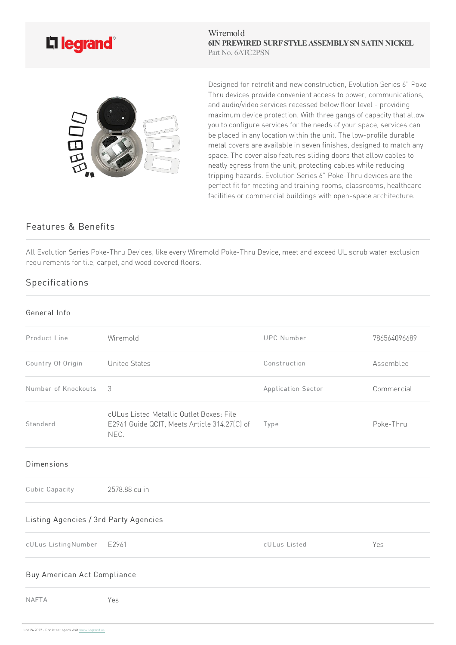

Wiremold **6IN PREWIRED SURF STYLEASSEMBLYSN SATIN NICKEL** Part No. 6ATC2PSN



Designed for retrofit and new construction, Evolution Series 6" Poke-Thru devices provide convenient access to power, communications, and audio/video services recessed below floor level - providing maximum device protection. With three gangs of capacity that allow you to configure services for the needs of your space, services can be placed in any location within the unit. The low-profile durable metal covers are available in seven finishes, designed to match any space. The cover also features sliding doors that allow cables to neatly egress from the unit, protecting cables while reducing tripping hazards. Evolution Series 6" Poke-Thru devices are the perfect fit for meeting and training rooms, classrooms, healthcare facilities or commercial buildings with open-space architecture.

## Features & Benefits

All Evolution Series Poke-Thru Devices, like every Wiremold Poke-Thru Device, meet and exceed UL scrub water exclusion requirements for tile, carpet, and wood covered floors.

## Specifications

## General Info

| Product Line                          | Wiremold                                                                                         | <b>UPC Number</b>  | 786564096689 |
|---------------------------------------|--------------------------------------------------------------------------------------------------|--------------------|--------------|
| Country Of Origin                     | <b>United States</b>                                                                             | Construction       | Assembled    |
| Number of Knockouts                   | 3                                                                                                | Application Sector | Commercial   |
| Standard                              | cULus Listed Metallic Outlet Boxes: File<br>E2961 Guide QCIT, Meets Article 314.27(C) of<br>NEC. | Type               | Poke-Thru    |
| <b>Dimensions</b>                     |                                                                                                  |                    |              |
| Cubic Capacity                        | 2578.88 cu in                                                                                    |                    |              |
| Listing Agencies / 3rd Party Agencies |                                                                                                  |                    |              |
| cULus ListingNumber                   | E2961                                                                                            | cULus Listed       | Yes          |
| Buy American Act Compliance           |                                                                                                  |                    |              |
| <b>NAFTA</b>                          | Yes                                                                                              |                    |              |
|                                       |                                                                                                  |                    |              |